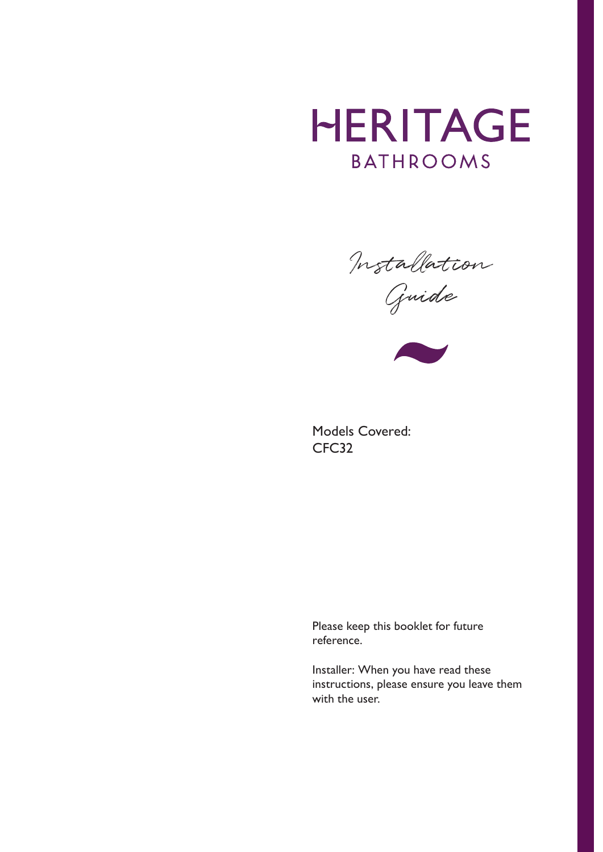# **HERITAGE BATHROOMS**

Installation

Guide



Models Covered: CFC32

Please keep this booklet for future reference.

Installer: When you have read these instructions, please ensure you leave them with the user.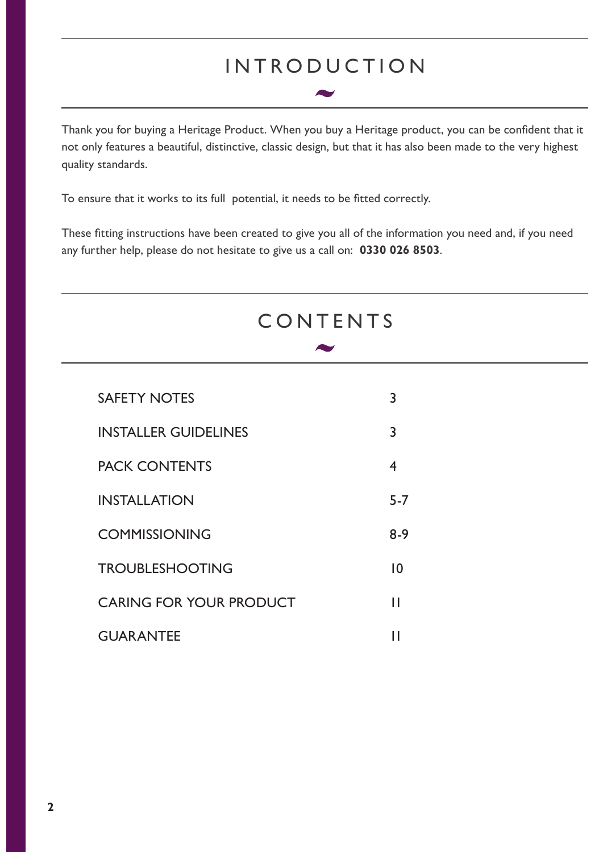### INTRODUCTION

Thank you for buying a Heritage Product. When you buy a Heritage product, you can be confident that it not only features a beautiful, distinctive, classic design, but that it has also been made to the very highest quality standards.

To ensure that it works to its full potential, it needs to be fitted correctly.

These fitting instructions have been created to give you all of the information you need and, if you need any further help, please do not hesitate to give us a call on: **0330 026 8503**.

## CONTENTS

| <b>SAFETY NOTES</b>            | 3               |
|--------------------------------|-----------------|
| <b>INSTALLER GUIDELINES</b>    | 3               |
| <b>PACK CONTENTS</b>           | 4               |
| <b>INSTALLATION</b>            | $5 - 7$         |
| <b>COMMISSIONING</b>           | 8-9             |
| <b>TROUBLESHOOTING</b>         | $\overline{10}$ |
| <b>CARING FOR YOUR PRODUCT</b> | Н               |
| <b>GUARANTEE</b>               |                 |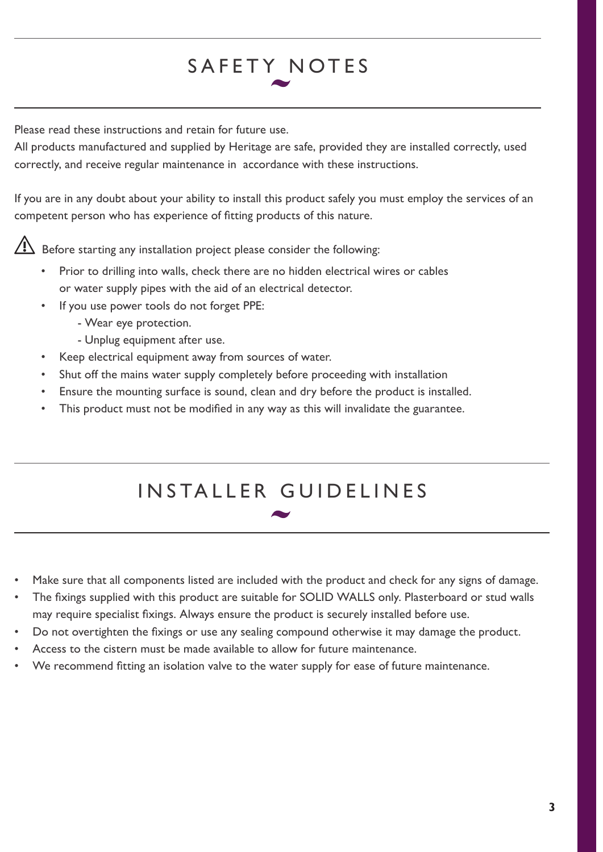## SAFETY NOTES

Please read these instructions and retain for future use.

All products manufactured and supplied by Heritage are safe, provided they are installed correctly, used correctly, and receive regular maintenance in accordance with these instructions.

If you are in any doubt about your ability to install this product safely you must employ the services of an competent person who has experience of fitting products of this nature.

 $\triangle$  Before starting any installation project please consider the following:

- Prior to drilling into walls, check there are no hidden electrical wires or cables or water supply pipes with the aid of an electrical detector.
- If you use power tools do not forget PPE:
	- Wear eye protection.
	- Unplug equipment after use.
- Keep electrical equipment away from sources of water.
- Shut off the mains water supply completely before proceeding with installation
- Ensure the mounting surface is sound, clean and dry before the product is installed.
- This product must not be modified in any way as this will invalidate the guarantee.

# INSTALLER GUIDELINES

- Make sure that all components listed are included with the product and check for any signs of damage.
- The fixings supplied with this product are suitable for SOLID WALLS only. Plasterboard or stud walls may require specialist fixings. Always ensure the product is securely installed before use.
- Do not overtighten the fixings or use any sealing compound otherwise it may damage the product.
- Access to the cistern must be made available to allow for future maintenance.
- We recommend fitting an isolation valve to the water supply for ease of future maintenance.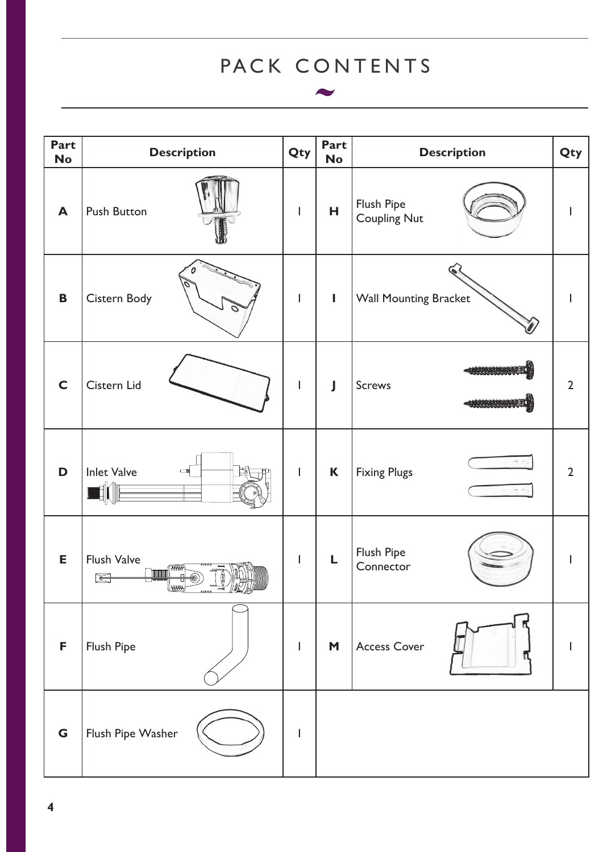## PACK CONTENTS

**AV** 

| <b>Part</b><br><b>No</b> | <b>Description</b>                                                 | Qty                                                                                                                                                                                                                                                                                                                                                                              | Part<br><b>No</b> | <b>Description</b>                    | Qty            |
|--------------------------|--------------------------------------------------------------------|----------------------------------------------------------------------------------------------------------------------------------------------------------------------------------------------------------------------------------------------------------------------------------------------------------------------------------------------------------------------------------|-------------------|---------------------------------------|----------------|
| $\blacktriangle$         | <b>Push Button</b>                                                 | $\overline{\phantom{a}}$                                                                                                                                                                                                                                                                                                                                                         | н                 | Flush Pipe<br><b>Coupling Nut</b>     |                |
| B                        | Cistern Body                                                       | $\begin{array}{c} \rule{0pt}{2.5ex} \rule{0pt}{2.5ex} \rule{0pt}{2.5ex} \rule{0pt}{2.5ex} \rule{0pt}{2.5ex} \rule{0pt}{2.5ex} \rule{0pt}{2.5ex} \rule{0pt}{2.5ex} \rule{0pt}{2.5ex} \rule{0pt}{2.5ex} \rule{0pt}{2.5ex} \rule{0pt}{2.5ex} \rule{0pt}{2.5ex} \rule{0pt}{2.5ex} \rule{0pt}{2.5ex} \rule{0pt}{2.5ex} \rule{0pt}{2.5ex} \rule{0pt}{2.5ex} \rule{0pt}{2.5ex} \rule{0$ | L                 | <b>Wall Mounting Bracket</b>          |                |
| $\mathsf{C}$             | Cistern Lid                                                        | $\overline{1}$                                                                                                                                                                                                                                                                                                                                                                   | $\mathbf{J}$      | <b>MARINE MARINE</b><br><b>Screws</b> | $\overline{2}$ |
| D                        | <b>Inlet Valve</b><br>$\blacksquare$                               | $\mathsf{I}$                                                                                                                                                                                                                                                                                                                                                                     | K                 | <b>Fixing Plugs</b>                   | $\overline{2}$ |
| E                        | <b>Flush Valve</b><br><b>HAM</b><br><u>inmini</u><br>뮤<br>⇚<br>amu | I                                                                                                                                                                                                                                                                                                                                                                                | L                 | Flush Pipe<br>Connector               |                |
| F                        | Flush Pipe                                                         | L                                                                                                                                                                                                                                                                                                                                                                                | M                 | <b>Access Cover</b>                   |                |
| G                        | Flush Pipe Washer                                                  | $\overline{\phantom{a}}$                                                                                                                                                                                                                                                                                                                                                         |                   |                                       |                |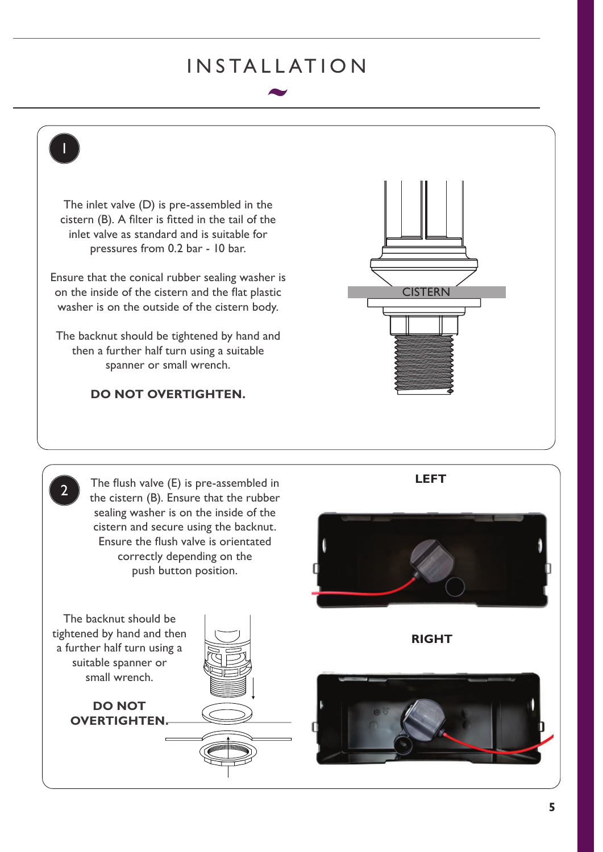### INSTALLATION

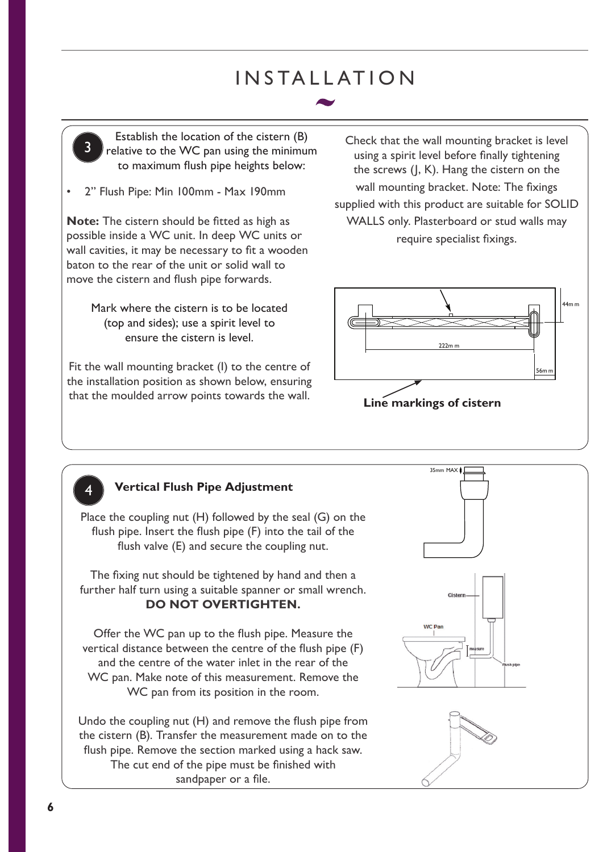## INSTALLATION



• 2" Flush Pipe: Min 100mm - Max 190mm

**Note:** The cistern should be fitted as high as possible inside a WC unit. In deep WC units or wall cavities, it may be necessary to fit a wooden baton to the rear of the unit or solid wall to move the cistern and flush pipe forwards.

> Mark where the cistern is to be located (top and sides); use a spirit level to ensure the cistern is level.

Fit the wall mounting bracket (I) to the centre of the installation position as shown below, ensuring that the moulded arrow points towards the wall.

Check that the wall mounting bracket is level using a spirit level before finally tightening the screws (J, K). Hang the cistern on the wall mounting bracket. Note: The fixings supplied with this product are suitable for SOLID WALLS only. Plasterboard or stud walls may require specialist fixings.





#### **Vertical Flush Pipe Adjustment**

Place the coupling nut (H) followed by the seal (G) on the flush pipe. Insert the flush pipe (F) into the tail of the flush valve (E) and secure the coupling nut.

The fixing nut should be tightened by hand and then a further half turn using a suitable spanner or small wrench. **DO NOT OVERTIGHTEN.**

Offer the WC pan up to the flush pipe. Measure the vertical distance between the centre of the flush pipe (F) and the centre of the water inlet in the rear of the WC pan. Make note of this measurement. Remove the WC pan from its position in the room.

Undo the coupling nut (H) and remove the flush pipe from the cistern (B). Transfer the measurement made on to the flush pipe. Remove the section marked using a hack saw. The cut end of the pipe must be finished with sandpaper or a file.

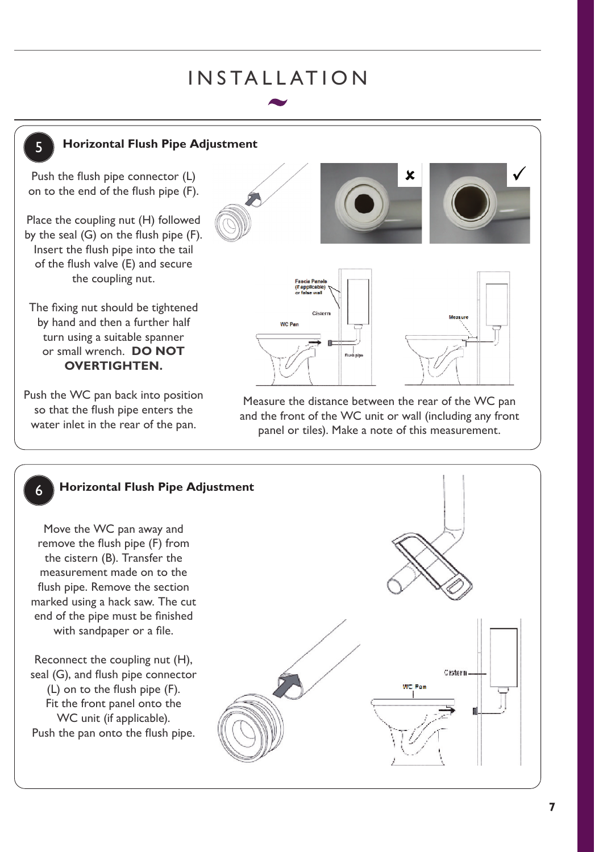## INSTALLATION



#### **Horizontal Flush Pipe Adjustment**

Push the flush pipe connector (L) on to the end of the flush pipe (F).

Place the coupling nut (H) followed by the seal (G) on the flush pipe (F). Insert the flush pipe into the tail of the flush valve (E) and secure the coupling nut.

The fixing nut should be tightened by hand and then a further half turn using a suitable spanner or small wrench. **DO NOT OVERTIGHTEN.**

Push the WC pan back into position so that the flush pipe enters the water inlet in the rear of the pan.



Measure the distance between the rear of the WC pan and the front of the WC unit or wall (including any front panel or tiles). Make a note of this measurement.

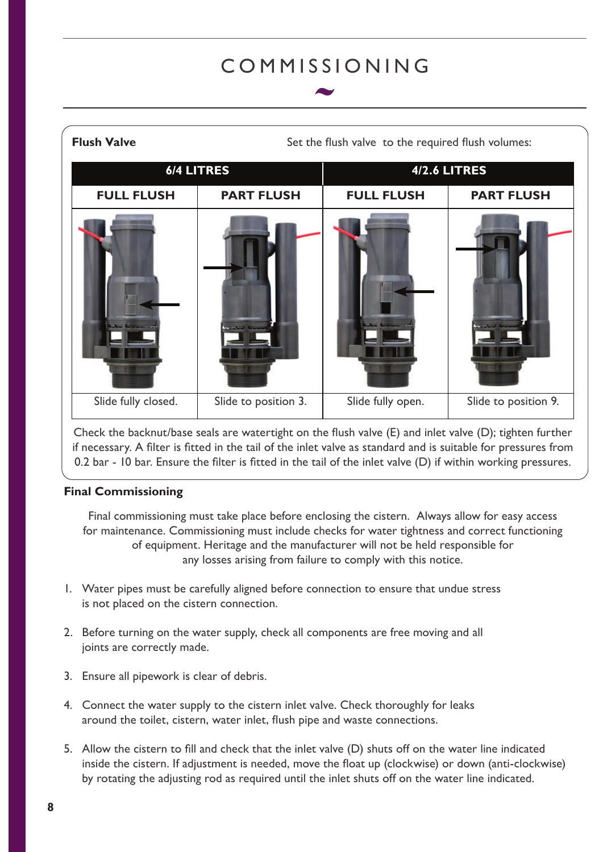### COMMISSIONING

| <b>Flush Valve</b>  | Set the flush valve to the required flush volumes: |                     |                      |  |  |
|---------------------|----------------------------------------------------|---------------------|----------------------|--|--|
| <b>6/4 LITRES</b>   |                                                    | <b>4/2.6 LITRES</b> |                      |  |  |
| <b>FULL FLUSH</b>   | <b>PART FLUSH</b>                                  | <b>FULL FLUSH</b>   | <b>PART FLUSH</b>    |  |  |
|                     |                                                    |                     |                      |  |  |
| Slide fully closed. | Slide to position 3.                               | Slide fully open.   | Slide to position 9. |  |  |

Check the backnut/base seals are watertight on the flush valve (E) and inlet valve (D); tighten further if necessary. A filter is fitted in the tail of the inlet valve as standard and is suitable for pressures from 0.2 bar - 10 bar. Ensure the filter is fitted in the tail of the inlet valve (D) if within working pressures.

#### **Final Commissioning**

Final commissioning must take place before enclosing the cistern. Always allow for easy access for maintenance. Commissioning must include checks for water tightness and correct functioning of equipment. Heritage and the manufacturer will not be held responsible for any losses arising from failure to comply with this notice.

- 1. Water pipes must be carefully aligned before connection to ensure that undue stress is not placed on the cistern connection.
- 2. Before turning on the water supply, check all components are free moving and all joints are correctly made.
- 3. Ensure all pipework is clear of debris.
- 4. Connect the water supply to the cistern inlet valve. Check thoroughly for leaks around the toilet, cistern, water inlet, flush pipe and waste connections.
- 5. Allow the cistern to fill and check that the inlet valve (D) shuts off on the water line indicated inside the cistern. If adjustment is needed, move the float up (clockwise) or down (anti-clockwise) by rotating the adjusting rod as required until the inlet shuts off on the water line indicated.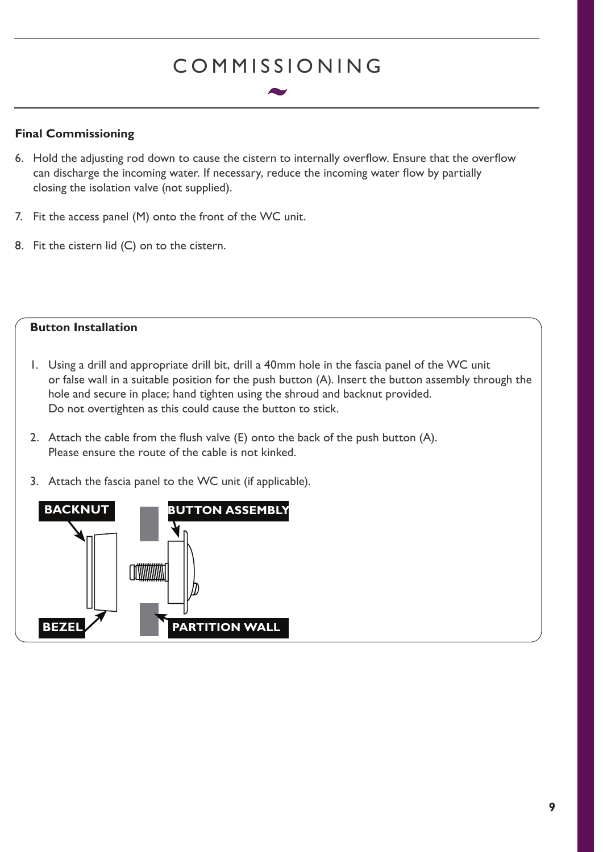## COMMISSIONING

#### **Final Commissioning**

**BEZEL**

- 6. Hold the adjusting rod down to cause the cistern to internally overflow. Ensure that the overflow can discharge the incoming water. If necessary, reduce the incoming water flow by partially closing the isolation valve (not supplied).
- 7. Fit the access panel (M) onto the front of the WC unit.

**CONTINUITY** 

8. Fit the cistern lid (C) on to the cistern.



**PARTITION WALL**

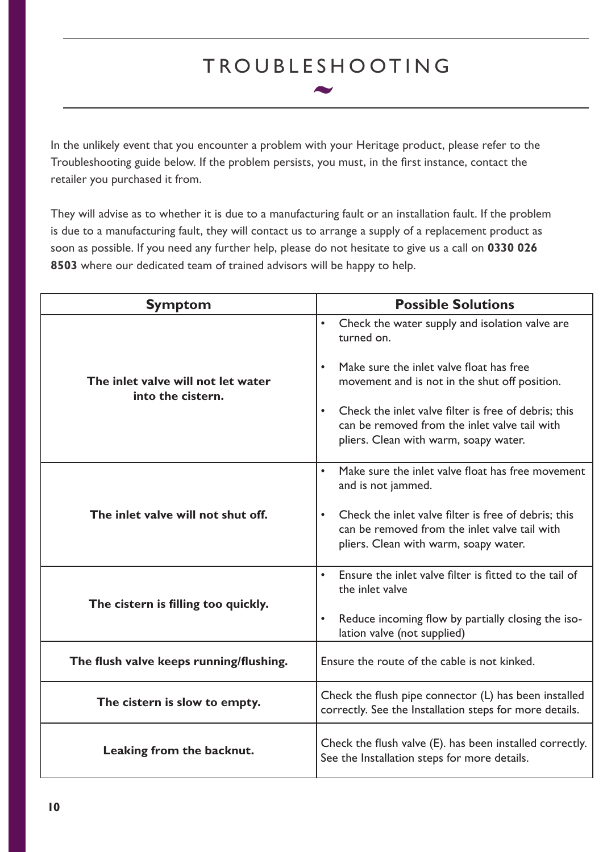## TROUBLESHOOTING

In the unlikely event that you encounter a problem with your Heritage product, please refer to the Troubleshooting guide below. If the problem persists, you must, in the first instance, contact the retailer you purchased it from.

They will advise as to whether it is due to a manufacturing fault or an installation fault. If the problem is due to a manufacturing fault, they will contact us to arrange a supply of a replacement product as soon as possible. If you need any further help, please do not hesitate to give us a call on **0330 026 8503** where our dedicated team of trained advisors will be happy to help.

| <b>Symptom</b>                                          | <b>Possible Solutions</b>                                                                                                                                   |  |  |
|---------------------------------------------------------|-------------------------------------------------------------------------------------------------------------------------------------------------------------|--|--|
| The inlet valve will not let water<br>into the cistern. | $\bullet$<br>Check the water supply and isolation valve are<br>turned on.                                                                                   |  |  |
|                                                         | Make sure the inlet valve float has free<br>$\bullet$<br>movement and is not in the shut off position.                                                      |  |  |
|                                                         | Check the inlet valve filter is free of debris; this<br>$\bullet$<br>can be removed from the inlet valve tail with<br>pliers. Clean with warm, soapy water. |  |  |
|                                                         | Make sure the inlet valve float has free movement<br>$\bullet$<br>and is not jammed.                                                                        |  |  |
| The inlet valve will not shut off.                      | Check the inlet valve filter is free of debris; this<br>$\bullet$<br>can be removed from the inlet valve tail with<br>pliers. Clean with warm, soapy water. |  |  |
|                                                         | Ensure the inlet valve filter is fitted to the tail of<br>$\bullet$<br>the inlet valve                                                                      |  |  |
| The cistern is filling too quickly.                     | Reduce incoming flow by partially closing the iso-<br>$\bullet$<br>lation valve (not supplied)                                                              |  |  |
| The flush valve keeps running/flushing.                 | Ensure the route of the cable is not kinked.                                                                                                                |  |  |
| The cistern is slow to empty.                           | Check the flush pipe connector (L) has been installed<br>correctly. See the Installation steps for more details.                                            |  |  |
| Leaking from the backnut.                               | Check the flush valve (E). has been installed correctly.<br>See the Installation steps for more details.                                                    |  |  |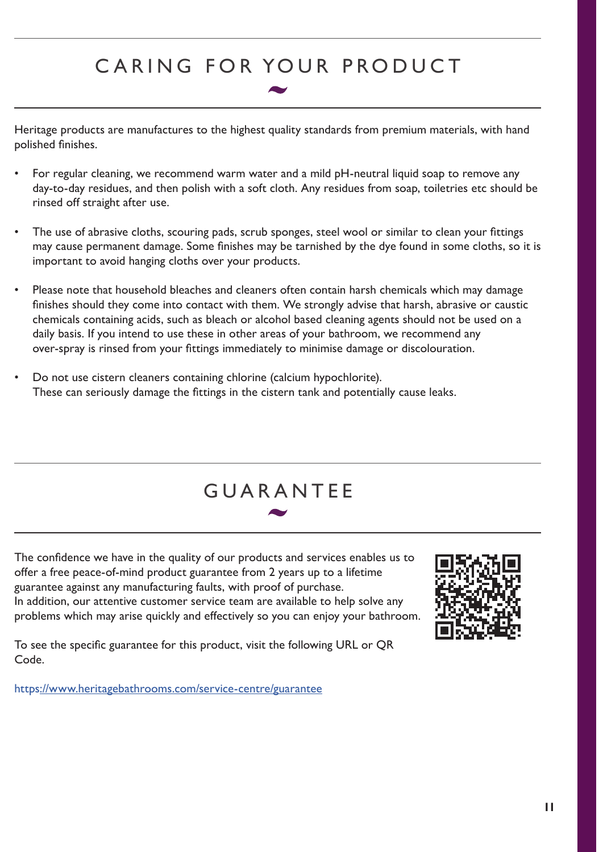## CARING FOR YOUR PRODUCT

Heritage products are manufactures to the highest quality standards from premium materials, with hand polished finishes.

- For regular cleaning, we recommend warm water and a mild pH-neutral liquid soap to remove any day-to-day residues, and then polish with a soft cloth. Any residues from soap, toiletries etc should be rinsed off straight after use.
- The use of abrasive cloths, scouring pads, scrub sponges, steel wool or similar to clean your fittings may cause permanent damage. Some finishes may be tarnished by the dye found in some cloths, so it is important to avoid hanging cloths over your products.
- Please note that household bleaches and cleaners often contain harsh chemicals which may damage finishes should they come into contact with them. We strongly advise that harsh, abrasive or caustic chemicals containing acids, such as bleach or alcohol based cleaning agents should not be used on a daily basis. If you intend to use these in other areas of your bathroom, we recommend any over-spray is rinsed from your fittings immediately to minimise damage or discolouration.
- Do not use cistern cleaners containing chlorine (calcium hypochlorite). These can seriously damage the fittings in the cistern tank and potentially cause leaks.



The confidence we have in the quality of our products and services enables us to offer a free peace-of-mind product guarantee from 2 years up to a lifetime guarantee against any manufacturing faults, with proof of purchase. In addition, our attentive customer service team are available to help solve any problems which may arise quickly and effectively so you can enjoy your bathroom.



To see the specific guarantee for this product, visit the following URL or QR Code.

https://www.heritagebathrooms.com/service-centre/guarantee